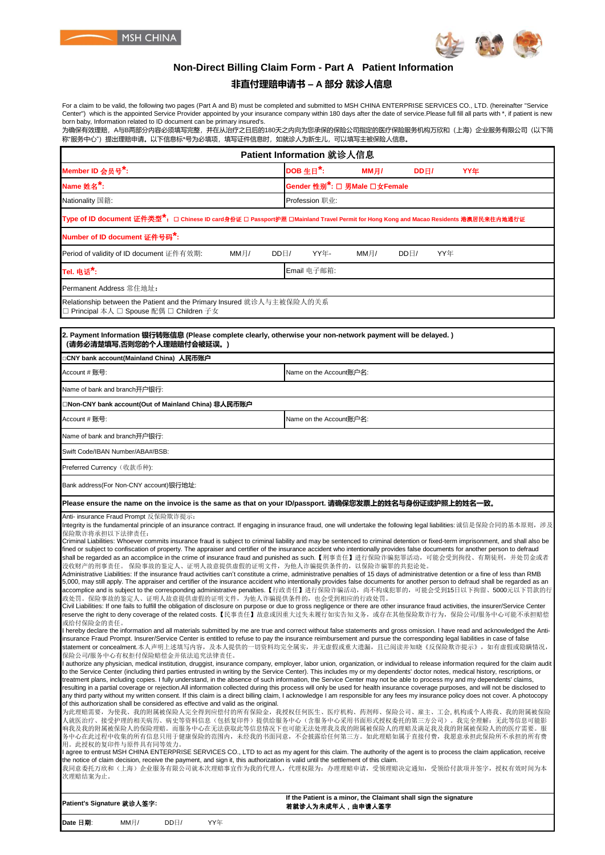



## **Non-Direct Billing Claim Form - Part A Patient Information**

### **非直付理赔申请书 – A 部分 就诊人信息**

For a claim to be valid, the following two pages (Part A and B) must be completed and submitted to MSH CHINA ENTERPRISE SERVICES CO., LTD. (hereinafter "Service<br>Center") which is the appointed Service Provider appointed b born baby, Information related to ID document can be primary insured's.

-sun-susy, mismicalen-saleeres is assumont sarros pinnary modiosin<br>为确保有效理赔,A与B两部分内容必须填写完整,并在从治疗之日后的180天之内向为您承保的保险公司指定的医疗保险服务机构万欣和(上海)企业服务有限公司(以下简 称"服务中心")提出理赔申请。以下信息标\*号为必填项,填写证件信息时,如就诊人为新生儿,可以填写主被保险人信息。

| Patient Information 就诊人信息                                                                                                                                                                                                                                                                                                                                                                                                                                                                                                                                                                                                                                                                                                                                                                                                                                                                                                                                                                                                                                                                                                                                                                                                                                                                                                                                                                                                                                                                                                                                                                                                                                                                                                                                                                                                                                                                                                                                                                                                                                                                                                                                                                                                                                                                                                                                                                                                                                                                                                                                                                                                                                                                                                                                                                                                                                                                                                                                                                                                                                                                                                                                                                                                                                                                                                                                                                                                                                                                                                                                                                                                                                                                                                                                                                                                                                                                                                                            |                                           |  |  |  |  |
|------------------------------------------------------------------------------------------------------------------------------------------------------------------------------------------------------------------------------------------------------------------------------------------------------------------------------------------------------------------------------------------------------------------------------------------------------------------------------------------------------------------------------------------------------------------------------------------------------------------------------------------------------------------------------------------------------------------------------------------------------------------------------------------------------------------------------------------------------------------------------------------------------------------------------------------------------------------------------------------------------------------------------------------------------------------------------------------------------------------------------------------------------------------------------------------------------------------------------------------------------------------------------------------------------------------------------------------------------------------------------------------------------------------------------------------------------------------------------------------------------------------------------------------------------------------------------------------------------------------------------------------------------------------------------------------------------------------------------------------------------------------------------------------------------------------------------------------------------------------------------------------------------------------------------------------------------------------------------------------------------------------------------------------------------------------------------------------------------------------------------------------------------------------------------------------------------------------------------------------------------------------------------------------------------------------------------------------------------------------------------------------------------------------------------------------------------------------------------------------------------------------------------------------------------------------------------------------------------------------------------------------------------------------------------------------------------------------------------------------------------------------------------------------------------------------------------------------------------------------------------------------------------------------------------------------------------------------------------------------------------------------------------------------------------------------------------------------------------------------------------------------------------------------------------------------------------------------------------------------------------------------------------------------------------------------------------------------------------------------------------------------------------------------------------------------------------------------------------------------------------------------------------------------------------------------------------------------------------------------------------------------------------------------------------------------------------------------------------------------------------------------------------------------------------------------------------------------------------------------------------------------------------------------------------------------------------|-------------------------------------------|--|--|--|--|
| Member ID 会员号*:                                                                                                                                                                                                                                                                                                                                                                                                                                                                                                                                                                                                                                                                                                                                                                                                                                                                                                                                                                                                                                                                                                                                                                                                                                                                                                                                                                                                                                                                                                                                                                                                                                                                                                                                                                                                                                                                                                                                                                                                                                                                                                                                                                                                                                                                                                                                                                                                                                                                                                                                                                                                                                                                                                                                                                                                                                                                                                                                                                                                                                                                                                                                                                                                                                                                                                                                                                                                                                                                                                                                                                                                                                                                                                                                                                                                                                                                                                                                      | DOB 生日 $*$ :<br>DDH/<br>MM月/<br>YY年       |  |  |  |  |
| Name 姓名*:                                                                                                                                                                                                                                                                                                                                                                                                                                                                                                                                                                                                                                                                                                                                                                                                                                                                                                                                                                                                                                                                                                                                                                                                                                                                                                                                                                                                                                                                                                                                                                                                                                                                                                                                                                                                                                                                                                                                                                                                                                                                                                                                                                                                                                                                                                                                                                                                                                                                                                                                                                                                                                                                                                                                                                                                                                                                                                                                                                                                                                                                                                                                                                                                                                                                                                                                                                                                                                                                                                                                                                                                                                                                                                                                                                                                                                                                                                                                            | Gender 性别 <sup>*</sup> : □ 男Male □女Female |  |  |  |  |
| Nationality 国籍:                                                                                                                                                                                                                                                                                                                                                                                                                                                                                                                                                                                                                                                                                                                                                                                                                                                                                                                                                                                                                                                                                                                                                                                                                                                                                                                                                                                                                                                                                                                                                                                                                                                                                                                                                                                                                                                                                                                                                                                                                                                                                                                                                                                                                                                                                                                                                                                                                                                                                                                                                                                                                                                                                                                                                                                                                                                                                                                                                                                                                                                                                                                                                                                                                                                                                                                                                                                                                                                                                                                                                                                                                                                                                                                                                                                                                                                                                                                                      | Profession 职业:                            |  |  |  |  |
| <mark>Type of ID document 证件类型<sup>*</sup>: □ Chinese ID card身份证 □ Passport护照 □Mainland Travel Permit for Hong Kong and Macao Residents 港澳居民来往内地通行证</mark>                                                                                                                                                                                                                                                                                                                                                                                                                                                                                                                                                                                                                                                                                                                                                                                                                                                                                                                                                                                                                                                                                                                                                                                                                                                                                                                                                                                                                                                                                                                                                                                                                                                                                                                                                                                                                                                                                                                                                                                                                                                                                                                                                                                                                                                                                                                                                                                                                                                                                                                                                                                                                                                                                                                                                                                                                                                                                                                                                                                                                                                                                                                                                                                                                                                                                                                                                                                                                                                                                                                                                                                                                                                                                                                                                                                           |                                           |  |  |  |  |
| Number of ID document 证件号码 <sup>*</sup> :                                                                                                                                                                                                                                                                                                                                                                                                                                                                                                                                                                                                                                                                                                                                                                                                                                                                                                                                                                                                                                                                                                                                                                                                                                                                                                                                                                                                                                                                                                                                                                                                                                                                                                                                                                                                                                                                                                                                                                                                                                                                                                                                                                                                                                                                                                                                                                                                                                                                                                                                                                                                                                                                                                                                                                                                                                                                                                                                                                                                                                                                                                                                                                                                                                                                                                                                                                                                                                                                                                                                                                                                                                                                                                                                                                                                                                                                                                            |                                           |  |  |  |  |
| Period of validity of ID document 证件有效期:<br>MMH/<br>$DD \Box /$                                                                                                                                                                                                                                                                                                                                                                                                                                                                                                                                                                                                                                                                                                                                                                                                                                                                                                                                                                                                                                                                                                                                                                                                                                                                                                                                                                                                                                                                                                                                                                                                                                                                                                                                                                                                                                                                                                                                                                                                                                                                                                                                                                                                                                                                                                                                                                                                                                                                                                                                                                                                                                                                                                                                                                                                                                                                                                                                                                                                                                                                                                                                                                                                                                                                                                                                                                                                                                                                                                                                                                                                                                                                                                                                                                                                                                                                                      | YY年-<br>YY年<br>MMH/<br>$DD \Box$          |  |  |  |  |
| Tel. 电话 $*$ :                                                                                                                                                                                                                                                                                                                                                                                                                                                                                                                                                                                                                                                                                                                                                                                                                                                                                                                                                                                                                                                                                                                                                                                                                                                                                                                                                                                                                                                                                                                                                                                                                                                                                                                                                                                                                                                                                                                                                                                                                                                                                                                                                                                                                                                                                                                                                                                                                                                                                                                                                                                                                                                                                                                                                                                                                                                                                                                                                                                                                                                                                                                                                                                                                                                                                                                                                                                                                                                                                                                                                                                                                                                                                                                                                                                                                                                                                                                                        | Email 电子邮箱:                               |  |  |  |  |
| Permanent Address 常住地址:                                                                                                                                                                                                                                                                                                                                                                                                                                                                                                                                                                                                                                                                                                                                                                                                                                                                                                                                                                                                                                                                                                                                                                                                                                                                                                                                                                                                                                                                                                                                                                                                                                                                                                                                                                                                                                                                                                                                                                                                                                                                                                                                                                                                                                                                                                                                                                                                                                                                                                                                                                                                                                                                                                                                                                                                                                                                                                                                                                                                                                                                                                                                                                                                                                                                                                                                                                                                                                                                                                                                                                                                                                                                                                                                                                                                                                                                                                                              |                                           |  |  |  |  |
| Relationship between the Patient and the Primary Insured 就诊人与主被保险人的关系<br>□ Principal 本人 □ Spouse 配偶 □ Children 子女                                                                                                                                                                                                                                                                                                                                                                                                                                                                                                                                                                                                                                                                                                                                                                                                                                                                                                                                                                                                                                                                                                                                                                                                                                                                                                                                                                                                                                                                                                                                                                                                                                                                                                                                                                                                                                                                                                                                                                                                                                                                                                                                                                                                                                                                                                                                                                                                                                                                                                                                                                                                                                                                                                                                                                                                                                                                                                                                                                                                                                                                                                                                                                                                                                                                                                                                                                                                                                                                                                                                                                                                                                                                                                                                                                                                                                    |                                           |  |  |  |  |
| 2. Payment Information 银行转账信息 (Please complete clearly, otherwise your non-network payment will be delayed. )<br>(请务必清楚填写,否则您的个人理赔赔付会被延误。)                                                                                                                                                                                                                                                                                                                                                                                                                                                                                                                                                                                                                                                                                                                                                                                                                                                                                                                                                                                                                                                                                                                                                                                                                                                                                                                                                                                                                                                                                                                                                                                                                                                                                                                                                                                                                                                                                                                                                                                                                                                                                                                                                                                                                                                                                                                                                                                                                                                                                                                                                                                                                                                                                                                                                                                                                                                                                                                                                                                                                                                                                                                                                                                                                                                                                                                                                                                                                                                                                                                                                                                                                                                                                                                                                                                                           |                                           |  |  |  |  |
| CNY bank account(Mainland China) 人民币账户                                                                                                                                                                                                                                                                                                                                                                                                                                                                                                                                                                                                                                                                                                                                                                                                                                                                                                                                                                                                                                                                                                                                                                                                                                                                                                                                                                                                                                                                                                                                                                                                                                                                                                                                                                                                                                                                                                                                                                                                                                                                                                                                                                                                                                                                                                                                                                                                                                                                                                                                                                                                                                                                                                                                                                                                                                                                                                                                                                                                                                                                                                                                                                                                                                                                                                                                                                                                                                                                                                                                                                                                                                                                                                                                                                                                                                                                                                               |                                           |  |  |  |  |
| Account # 账号:                                                                                                                                                                                                                                                                                                                                                                                                                                                                                                                                                                                                                                                                                                                                                                                                                                                                                                                                                                                                                                                                                                                                                                                                                                                                                                                                                                                                                                                                                                                                                                                                                                                                                                                                                                                                                                                                                                                                                                                                                                                                                                                                                                                                                                                                                                                                                                                                                                                                                                                                                                                                                                                                                                                                                                                                                                                                                                                                                                                                                                                                                                                                                                                                                                                                                                                                                                                                                                                                                                                                                                                                                                                                                                                                                                                                                                                                                                                                        | Name on the Account账户名:                   |  |  |  |  |
| Name of bank and branch开户银行:                                                                                                                                                                                                                                                                                                                                                                                                                                                                                                                                                                                                                                                                                                                                                                                                                                                                                                                                                                                                                                                                                                                                                                                                                                                                                                                                                                                                                                                                                                                                                                                                                                                                                                                                                                                                                                                                                                                                                                                                                                                                                                                                                                                                                                                                                                                                                                                                                                                                                                                                                                                                                                                                                                                                                                                                                                                                                                                                                                                                                                                                                                                                                                                                                                                                                                                                                                                                                                                                                                                                                                                                                                                                                                                                                                                                                                                                                                                         |                                           |  |  |  |  |
| □Non-CNY bank account(Out of Mainland China) 非人民币账户                                                                                                                                                                                                                                                                                                                                                                                                                                                                                                                                                                                                                                                                                                                                                                                                                                                                                                                                                                                                                                                                                                                                                                                                                                                                                                                                                                                                                                                                                                                                                                                                                                                                                                                                                                                                                                                                                                                                                                                                                                                                                                                                                                                                                                                                                                                                                                                                                                                                                                                                                                                                                                                                                                                                                                                                                                                                                                                                                                                                                                                                                                                                                                                                                                                                                                                                                                                                                                                                                                                                                                                                                                                                                                                                                                                                                                                                                                  |                                           |  |  |  |  |
| Account # 账号:                                                                                                                                                                                                                                                                                                                                                                                                                                                                                                                                                                                                                                                                                                                                                                                                                                                                                                                                                                                                                                                                                                                                                                                                                                                                                                                                                                                                                                                                                                                                                                                                                                                                                                                                                                                                                                                                                                                                                                                                                                                                                                                                                                                                                                                                                                                                                                                                                                                                                                                                                                                                                                                                                                                                                                                                                                                                                                                                                                                                                                                                                                                                                                                                                                                                                                                                                                                                                                                                                                                                                                                                                                                                                                                                                                                                                                                                                                                                        | Name on the Account账户名:                   |  |  |  |  |
| Name of bank and branch开户银行:                                                                                                                                                                                                                                                                                                                                                                                                                                                                                                                                                                                                                                                                                                                                                                                                                                                                                                                                                                                                                                                                                                                                                                                                                                                                                                                                                                                                                                                                                                                                                                                                                                                                                                                                                                                                                                                                                                                                                                                                                                                                                                                                                                                                                                                                                                                                                                                                                                                                                                                                                                                                                                                                                                                                                                                                                                                                                                                                                                                                                                                                                                                                                                                                                                                                                                                                                                                                                                                                                                                                                                                                                                                                                                                                                                                                                                                                                                                         |                                           |  |  |  |  |
| Swift Code/IBAN Number/ABA#/BSB:                                                                                                                                                                                                                                                                                                                                                                                                                                                                                                                                                                                                                                                                                                                                                                                                                                                                                                                                                                                                                                                                                                                                                                                                                                                                                                                                                                                                                                                                                                                                                                                                                                                                                                                                                                                                                                                                                                                                                                                                                                                                                                                                                                                                                                                                                                                                                                                                                                                                                                                                                                                                                                                                                                                                                                                                                                                                                                                                                                                                                                                                                                                                                                                                                                                                                                                                                                                                                                                                                                                                                                                                                                                                                                                                                                                                                                                                                                                     |                                           |  |  |  |  |
| Preferred Currency (收款币种):                                                                                                                                                                                                                                                                                                                                                                                                                                                                                                                                                                                                                                                                                                                                                                                                                                                                                                                                                                                                                                                                                                                                                                                                                                                                                                                                                                                                                                                                                                                                                                                                                                                                                                                                                                                                                                                                                                                                                                                                                                                                                                                                                                                                                                                                                                                                                                                                                                                                                                                                                                                                                                                                                                                                                                                                                                                                                                                                                                                                                                                                                                                                                                                                                                                                                                                                                                                                                                                                                                                                                                                                                                                                                                                                                                                                                                                                                                                           |                                           |  |  |  |  |
| Bank address(For Non-CNY account)银行地址:                                                                                                                                                                                                                                                                                                                                                                                                                                                                                                                                                                                                                                                                                                                                                                                                                                                                                                                                                                                                                                                                                                                                                                                                                                                                                                                                                                                                                                                                                                                                                                                                                                                                                                                                                                                                                                                                                                                                                                                                                                                                                                                                                                                                                                                                                                                                                                                                                                                                                                                                                                                                                                                                                                                                                                                                                                                                                                                                                                                                                                                                                                                                                                                                                                                                                                                                                                                                                                                                                                                                                                                                                                                                                                                                                                                                                                                                                                               |                                           |  |  |  |  |
| Please ensure the name on the invoice is the same as that on your ID/passport. 请确保您发票上的姓名与身份证或护照上的姓名一致。                                                                                                                                                                                                                                                                                                                                                                                                                                                                                                                                                                                                                                                                                                                                                                                                                                                                                                                                                                                                                                                                                                                                                                                                                                                                                                                                                                                                                                                                                                                                                                                                                                                                                                                                                                                                                                                                                                                                                                                                                                                                                                                                                                                                                                                                                                                                                                                                                                                                                                                                                                                                                                                                                                                                                                                                                                                                                                                                                                                                                                                                                                                                                                                                                                                                                                                                                                                                                                                                                                                                                                                                                                                                                                                                                                                                                                              |                                           |  |  |  |  |
| Anti- insurance Fraud Prompt 反保险欺诈提示:<br>Integrity is the fundamental principle of an insurance contract. If engaging in insurance fraud, one will undertake the following legal liabilities: 诚信是保险合同的基本原则,涉及<br>保险欺诈将承担以下法律责任:<br>Criminal Liabilities: Whoever commits insurance fraud is subject to criminal liability and may be sentenced to criminal detention or fixed-term imprisonment, and shall also be<br>fined or subject to confiscation of property. The appraiser and certifier of the insurance accident who intentionally provides false documents for another person to defraud<br>shall be regarded as an accomplice in the crime of insurance fraud and punished as such.【刑事责任】进行保险诈骗犯罪活动,可能会受到拘役、有期徒刑,并处罚金或者<br>没收财产的刑事责任。 保险事故的鉴定人、证明人故意提供虚假的证明文件,为他人诈骗提供条件的,以保险诈骗罪的共犯论处。<br>Administrative Liabilities: If the insurance fraud activities can't constitute a crime, administrative penalties of 15 days of administrative detention or a fine of less than RMB<br>5,000, may still apply. The appraiser and certifier of the insurance accident who intentionally provides false documents for another person to defraud shall be regarded as an<br>accomplice and is subject to the corresponding administrative penalties.【行政责任】进行保险诈骗活动,尚不构成犯罪的,可能会受到15日以下拘留、5000元以下罚款的行<br>政处罚。保险事故的鉴定人、证明人故意提供虚假的证明文件,为他人诈骗提供条件的,也会受到相应的行政处罚。<br>Civil Liabilities: If one fails to fulfill the obligation of disclosure on purpose or due to gross negligence or there are other insurance fraud activities, the insurer/Service Center<br>reserve the right to deny coverage of the related costs.【民事责任】故意或因重大过失未履行如实告知义务,或存在其他保险欺诈行为,保险公司/服务中心可能不承担赔偿<br>或给付保险金的责任。<br>I hereby declare the information and all materials submitted by me are true and correct without false statements and gross omission. I have read and acknowledged the Anti-<br>insurance Fraud Prompt. Insurer/Service Center is entitled to refuse to pay the insurance reimbursement and pursue the corresponding legal liabilities in case of false<br>statement or concealment.本人声明上述填写内容,及本人提供的一切资料均完全属实,并无虚假或重大遗漏,且已阅读并知晓《反保险欺诈提示》,如有虚假或隐瞒情况,<br>保险公司/服务中心有权拒付保险赔偿金并依法追究法律责任。<br>authorize any physician, medical institution, druggist, insurance company, employer, labor union, organization, or individual to release information required for the claim audit<br>to the Service Center (including third parties entrusted in writing by the Service Center). This includes my or my dependents' doctor notes, medical history, rescriptions, or<br>treatment plans, including copies. I fully understand, in the absence of such information, the Service Center may not be able to process my and my dependents' claims,<br>resulting in a partial coverage or rejection.All information collected during this process will only be used for health insurance coverage purposes, and will not be disclosed to<br>any third party without my written consent. If this claim is a direct billing claim, I acknowledge I am responsible for any fees my insurance policy does not cover. A photocopy<br>of this authorization shall be considered as effective and valid as the original.<br>为此理赔需要,为使我、我的附属被保险人完全得到应偿付的所有保险金,我授权任何医生、医疗机构、药剂师、保险公司、雇主、工会, 机构或个人将我、我的附属被保险<br>人就医治疗、接受护理的相关病历、病史等资料信息(包括复印件)提供给服务中心(含服务中心采用书面形式授权委托的第三方公司)。我完全理解:无此等信息可能影<br>响我及我的附属被保险人的保险理赔。而服务中心在无法获取此等信息情况下也可能无法处理我及我的附属被保险人的理赔及满足我及我的附属被保险人的的医疗需要。服<br>务中心在此过程中收集的所有信息只用于健康保险的范围内,未经我的书面同意,不会披露给任何第三方。如此理赔如属于直接付费,我愿意承担此保险所不承担的所有费<br>用。此授权的复印件与原件具有同等效力。<br>I agree to entrust MSH CHINA ENTERPRISE SERVICES CO., LTD to act as my agent for this claim. The authority of the agent is to process the claim application, receive<br>the notice of claim decision, receive the payment, and sign it, this authorization is valid until the settlement of this claim.<br>我同意委托万欣和(上海)企业服务有限公司就本次理赔事宜作为我的代理人,代理权限为:办理理赔申请,受领理赔决定通知,受领给付款项并签字,授权有效时间为本<br>次理赔结案为止。 |                                           |  |  |  |  |
| If the Patient is a minor, the Claimant shall sign the signature<br>Patient's Signature 就诊人签字:<br>若就诊人为未成年人,由申请人签字                                                                                                                                                                                                                                                                                                                                                                                                                                                                                                                                                                                                                                                                                                                                                                                                                                                                                                                                                                                                                                                                                                                                                                                                                                                                                                                                                                                                                                                                                                                                                                                                                                                                                                                                                                                                                                                                                                                                                                                                                                                                                                                                                                                                                                                                                                                                                                                                                                                                                                                                                                                                                                                                                                                                                                                                                                                                                                                                                                                                                                                                                                                                                                                                                                                                                                                                                                                                                                                                                                                                                                                                                                                                                                                                                                                                                                   |                                           |  |  |  |  |
| DDE/<br>YY年<br>Date 日期:<br>MMH/                                                                                                                                                                                                                                                                                                                                                                                                                                                                                                                                                                                                                                                                                                                                                                                                                                                                                                                                                                                                                                                                                                                                                                                                                                                                                                                                                                                                                                                                                                                                                                                                                                                                                                                                                                                                                                                                                                                                                                                                                                                                                                                                                                                                                                                                                                                                                                                                                                                                                                                                                                                                                                                                                                                                                                                                                                                                                                                                                                                                                                                                                                                                                                                                                                                                                                                                                                                                                                                                                                                                                                                                                                                                                                                                                                                                                                                                                                                      |                                           |  |  |  |  |